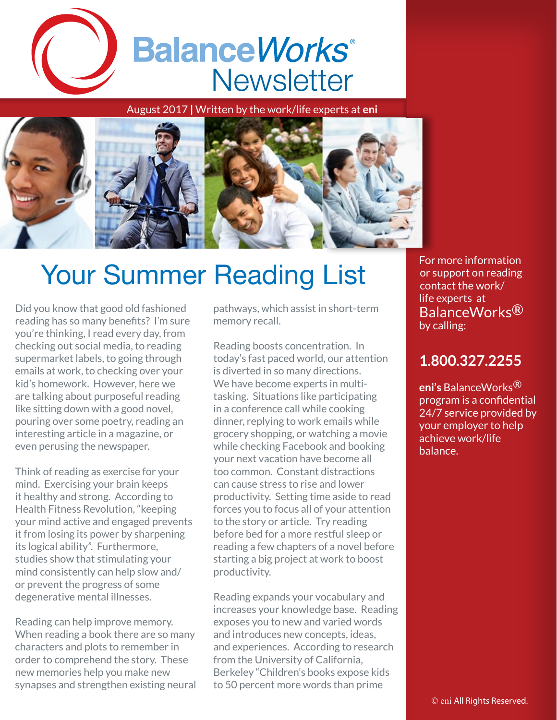

August 2017 **|** Written by the work/life experts at **eni**



## Your Summer Reading List

Did you know that good old fashioned reading has so many benefits? I'm sure you're thinking, I read every day, from checking out social media, to reading supermarket labels, to going through emails at work, to checking over your kid's homework. However, here we are talking about purposeful reading like sitting down with a good novel, pouring over some poetry, reading an interesting article in a magazine, or even perusing the newspaper.

Think of reading as exercise for your mind. Exercising your brain keeps it healthy and strong. According to Health Fitness Revolution, "keeping your mind active and engaged prevents it from losing its power by sharpening its logical ability". Furthermore, studies show that stimulating your mind consistently can help slow and/ or prevent the progress of some degenerative mental illnesses.

Reading can help improve memory. When reading a book there are so many characters and plots to remember in order to comprehend the story. These new memories help you make new synapses and strengthen existing neural pathways, which assist in short-term memory recall.

Reading boosts concentration. In today's fast paced world, our attention is diverted in so many directions. We have become experts in multitasking. Situations like participating in a conference call while cooking dinner, replying to work emails while grocery shopping, or watching a movie while checking Facebook and booking your next vacation have become all too common. Constant distractions can cause stress to rise and lower productivity. Setting time aside to read forces you to focus all of your attention to the story or article. Try reading before bed for a more restful sleep or reading a few chapters of a novel before starting a big project at work to boost productivity.

Reading expands your vocabulary and increases your knowledge base. Reading exposes you to new and varied words and introduces new concepts, ideas, and experiences. According to research from the University of California, Berkeley "Children's books expose kids to 50 percent more words than prime

For more information or support on reading contact the work/ life experts at BalanceWorks® by calling:

## **1.800.327.2255**

**eni's** BalanceWorks® program is a confidential 24/7 service provided by your employer to help achieve work/life balance.